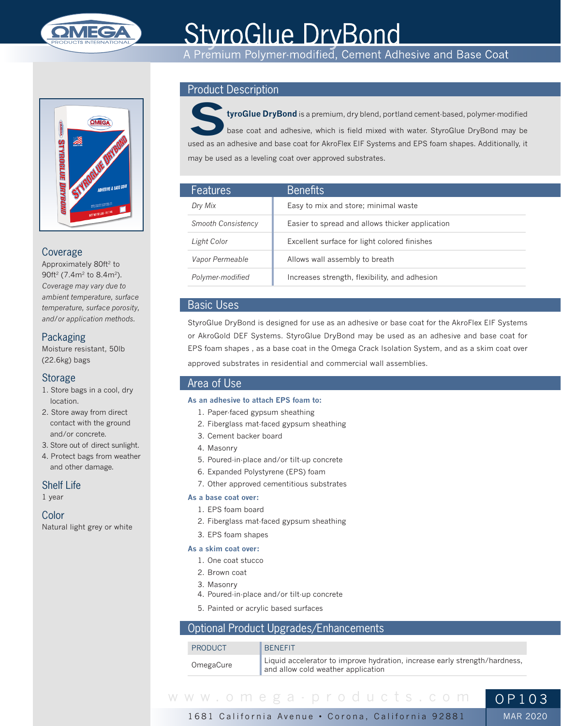

# **StyroGlue DryBond**

A Premium Polymer-modified, Cement Adhesive and Base Coat



## Coverage

Approximately 80ft<sup>2</sup> to 90ft<sup>2</sup> (7.4m<sup>2</sup> to 8.4m<sup>2</sup>). *Coverage may vary due to ambient temperature, surface temperature, surface porosity, and/or application methods.*

# Packaging

Moisture resistant, 50lb (22.6kg) bags

## Storage

- 1. Store bags in a cool, dry location.
- 2. Store away from direct contact with the ground and/or concrete.
- 3. Store out of direct sunlight.
- 4. Protect bags from weather and other damage.

## Shelf Life

1 year

#### Color

Natural light grey or white

# Product Description



**StyroGlue DryBond** is a premium, dry blend, portland cement-based, polymer-modified base coat and adhesive, which is field mixed with water. StyroGlue DryBond may be used as an adhesive and base coat for AkroFlex EIF Systems and EPS foam shapes. Additionally, it may be used as a leveling coat over approved substrates.

| <b>Features</b>           | <b>Benefits</b>                                 |
|---------------------------|-------------------------------------------------|
| Dry Mix                   | Easy to mix and store; minimal waste            |
| <b>Smooth Consistency</b> | Easier to spread and allows thicker application |
| Light Color               | Excellent surface for light colored finishes    |
| Vapor Permeable           | Allows wall assembly to breath                  |
| Polymer-modified          | Increases strength, flexibility, and adhesion   |

## Basic Uses

StyroGlue DryBond is designed for use as an adhesive or base coat for the AkroFlex EIF Systems or AkroGold DEF Systems. StyroGlue DryBond may be used as an adhesive and base coat for EPS foam shapes , as a base coat in the Omega Crack Isolation System, and as a skim coat over approved substrates in residential and commercial wall assemblies.

## Area of Use

#### **As an adhesive to attach EPS foam to:**

- 1. Paper-faced gypsum sheathing
- 2. Fiberglass mat-faced gypsum sheathing
- 3. Cement backer board
- 4. Masonry
- 5. Poured-in-place and/or tilt-up concrete
- 6. Expanded Polystyrene (EPS) foam
- 7. Other approved cementitious substrates

### **As a base coat over:**

- 1. EPS foam board
- 2. Fiberglass mat-faced gypsum sheathing
- 3. EPS foam shapes

#### **As a skim coat over:**

- 1. One coat stucco
- 2. Brown coat
- 3. Masonry
- 4. Poured-in-place and/or tilt-up concrete
- 5. Painted or acrylic based surfaces

# Optional Product Upgrades/Enhancements

| <b>PRODUCT</b> | <b>BENFFIT</b>                                                                                                   |
|----------------|------------------------------------------------------------------------------------------------------------------|
| OmegaCure      | Liquid accelerator to improve hydration, increase early strength/hardness,<br>and allow cold weather application |



1681 California Avenue • Corona, California 92881

MAR 2020